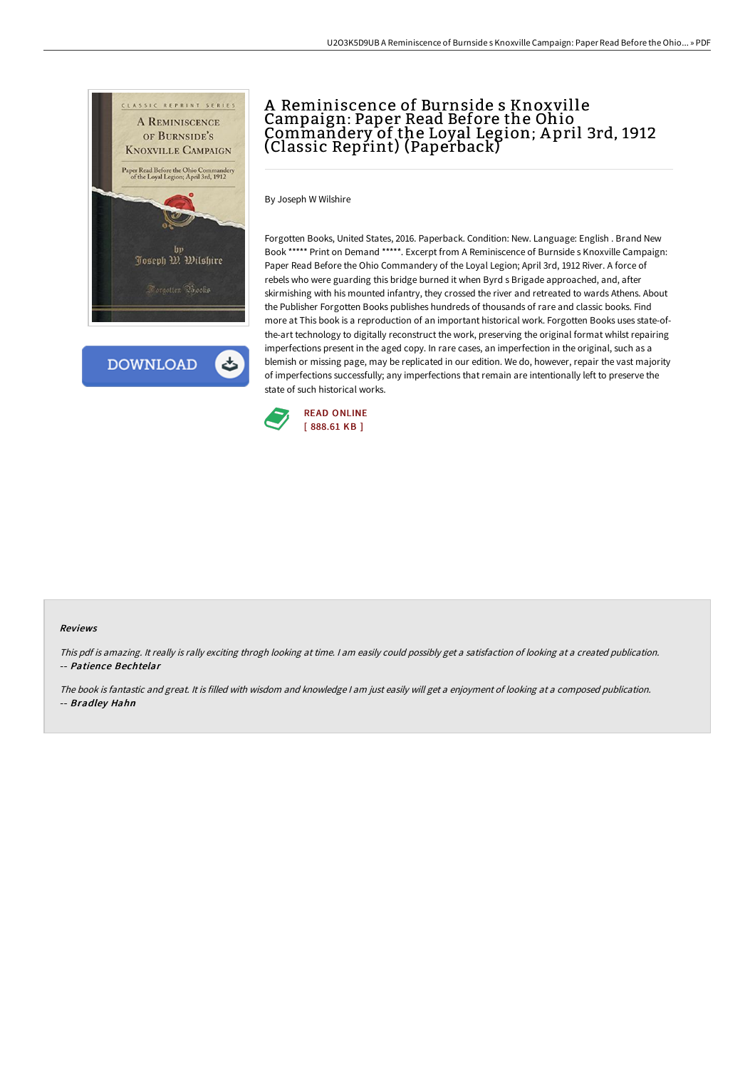

**DOWNLOAD** 

## A Reminiscence of Burnside s Knoxville Campaign: Paper Read Before the Ohio Commandery of the Loyal Legion; A pril 3rd, 1912 (Classic Reprint) (Paperback)

By Joseph W Wilshire

Forgotten Books, United States, 2016. Paperback. Condition: New. Language: English . Brand New Book \*\*\*\*\* Print on Demand \*\*\*\*\*. Excerpt from A Reminiscence of Burnside s Knoxville Campaign: Paper Read Before the Ohio Commandery of the Loyal Legion; April 3rd, 1912 River. A force of rebels who were guarding this bridge burned it when Byrd s Brigade approached, and, after skirmishing with his mounted infantry, they crossed the river and retreated to wards Athens. About the Publisher Forgotten Books publishes hundreds of thousands of rare and classic books. Find more at This book is a reproduction of an important historical work. Forgotten Books uses state-ofthe-art technology to digitally reconstruct the work, preserving the original format whilst repairing imperfections present in the aged copy. In rare cases, an imperfection in the original, such as a blemish or missing page, may be replicated in our edition. We do, however, repair the vast majority of imperfections successfully; any imperfections that remain are intentionally left to preserve the state of such historical works.



## Reviews

This pdf is amazing. It really is rally exciting throgh looking at time. <sup>I</sup> am easily could possibly get <sup>a</sup> satisfaction of looking at <sup>a</sup> created publication. -- Patience Bechtelar

The book is fantastic and great. It is filled with wisdom and knowledge <sup>I</sup> am just easily will get <sup>a</sup> enjoyment of looking at <sup>a</sup> composed publication. -- Bradley Hahn